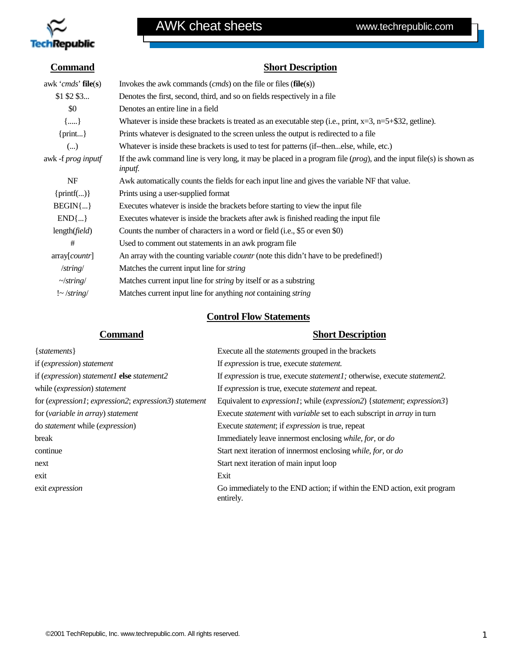

### **Command Short Description**

| awk ' <i>cmds</i> ' <b>file</b> (s) | Invokes the awk commands $(cmds)$ on the file or files $(file(s))$                                                                      |  |  |
|-------------------------------------|-----------------------------------------------------------------------------------------------------------------------------------------|--|--|
| $$1$ \$2 \$3                        | Denotes the first, second, third, and so on fields respectively in a file                                                               |  |  |
| \$0                                 | Denotes an entire line in a field                                                                                                       |  |  |
| ${,}$                               | Whatever is inside these brackets is treated as an executable step (i.e., print, $x=3$ , $n=5+\$32$ , gettine).                         |  |  |
| $\{print\}$                         | Prints whatever is designated to the screen unless the output is redirected to a file                                                   |  |  |
| ()                                  | Whatever is inside these brackets is used to test for patterns (if--thenelse, while, etc.)                                              |  |  |
| awk -f prog inputf                  | If the awk command line is very long, it may be placed in a program file $(prog)$ , and the input file(s) is shown as<br><i>inputf.</i> |  |  |
| NF                                  | Awk automatically counts the fields for each input line and gives the variable NF that value.                                           |  |  |
| $\{print() \}$                      | Prints using a user-supplied format                                                                                                     |  |  |
| $BEGIN\{\ldots\}$                   | Executes whatever is inside the brackets before starting to view the input file                                                         |  |  |
| $END\{\}$                           | Executes whatever is inside the brackets after awk is finished reading the input file                                                   |  |  |
| $length(\text{field})$              | Counts the number of characters in a word or field (i.e., \$5 or even \$0)                                                              |  |  |
| #                                   | Used to comment out statements in an awk program file.                                                                                  |  |  |
| array[counter]                      | An array with the counting variable <i>countr</i> (note this didn't have to be predefined!)                                             |  |  |
| $\frac{7}{\text{string}}$           | Matches the current input line for <i>string</i>                                                                                        |  |  |
| $\sim$ /string/                     | Matches current input line for <i>string</i> by itself or as a substring                                                                |  |  |
| $\frac{1}{2}$ /string/              | Matches current input line for anything <i>not</i> containing <i>string</i>                                                             |  |  |

### **Control Flow Statements**

#### **Command Short Description**

| $\{ statements\}$                                     | Execute all the <i>statements</i> grouped in the brackets                                                 |
|-------------------------------------------------------|-----------------------------------------------------------------------------------------------------------|
| if (expression) statement                             | If expression is true, execute statement.                                                                 |
| if (expression) statement1 else statement2            | If expression is true, execute <i>statement1</i> ; otherwise, execute <i>statement2</i> .                 |
| while ( <i>expression</i> ) statement                 | If <i>expression</i> is true, execute <i>statement</i> and repeat.                                        |
| for (expression1; expression2; expression3) statement | Equivalent to <i>expression1</i> ; while ( <i>expression2</i> ) { <i>statement</i> ; <i>expression3</i> } |
| for (variable in array) statement                     | Execute <i>statement</i> with <i>variable</i> set to each subscript in <i>array</i> in turn               |
| do <i>statement</i> while <i>(expression)</i>         | Execute <i>statement</i> ; if <i>expression</i> is true, repeat                                           |
| break                                                 | Immediately leave innermost enclosing while, for, or do                                                   |
| continue                                              | Start next iteration of innermost enclosing while, for, or do                                             |
| next                                                  | Start next iteration of main input loop                                                                   |
| exit                                                  | Exit                                                                                                      |
| exit <i>expression</i>                                | Go immediately to the END action; if within the END action, exit program<br>entirely.                     |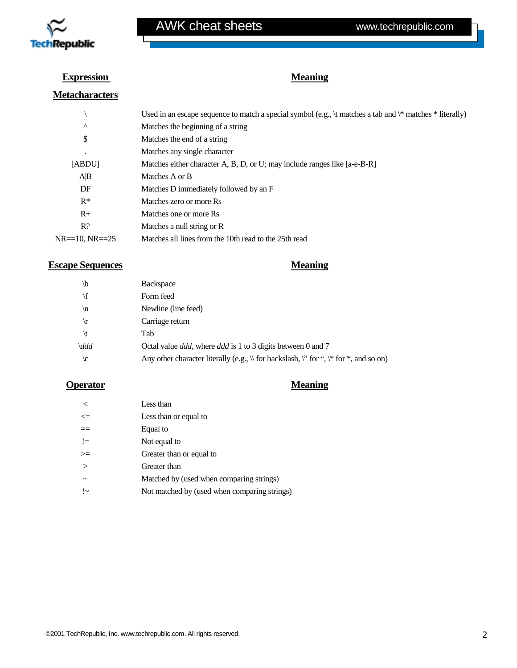

#### **Expression**

#### **Metacharacters**

### \ Used in an escape sequence to match a special symbol (e.g., \t matches a tab and \\* matches \* literally) ^ Matches the beginning of a string \$ Matches the end of a string . Matches any single character [ABDU] Matches either character A, B, D, or U; may include ranges like [a-e-B-R] A|B Matches A or B DF Matches D immediately followed by an F R\* Matches zero or more Rs R+ Matches one or more Rs R? Matches a null string or R NR==10, NR==25 Matches all lines from the 10th read to the 25th read

#### **Escape Sequences** Meaning

**Meaning**

| \b            | <b>Backspace</b>                                                                                |
|---------------|-------------------------------------------------------------------------------------------------|
| ۱f            | Form feed                                                                                       |
| ۱n            | Newline (line feed)                                                                             |
| $\mathbf{r}$  | Carriage return                                                                                 |
| \t            | Tab                                                                                             |
| \ddd          | Octal value <i>ddd</i> , where <i>ddd</i> is 1 to 3 digits between 0 and 7                      |
| $\setminus c$ | Any other character literally (e.g., $\ $ for backslash, $\ $ for ", $\ $ for $\ $ , and so on) |

#### **Operator** Meaning

| $\tilde{\phantom{a}}$ | Less than                                    |
|-----------------------|----------------------------------------------|
| $\leq$                | Less than or equal to                        |
| $==$                  | Equal to                                     |
| $!=$                  | Not equal to                                 |
| $>=$                  | Greater than or equal to                     |
| $\geq$                | Greater than                                 |
|                       | Matched by (used when comparing strings)     |
| $\sim$                | Not matched by (used when comparing strings) |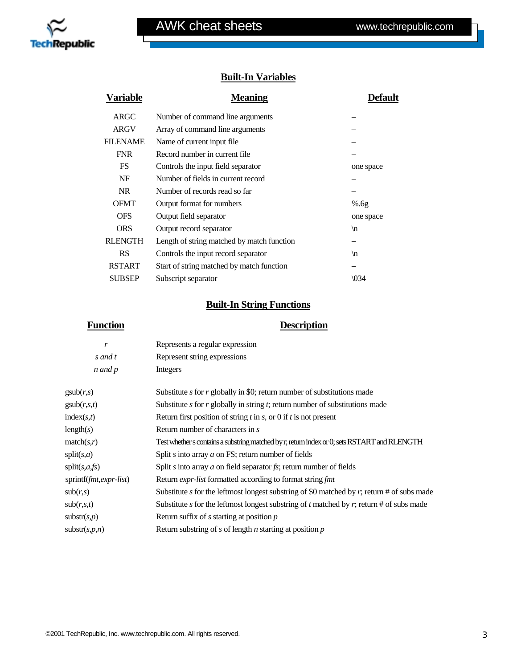

### **Built-In Variables**

| <b>Variable</b> | <b>Meaning</b>                             | Default         |
|-----------------|--------------------------------------------|-----------------|
| <b>ARGC</b>     | Number of command line arguments           |                 |
| <b>ARGV</b>     | Array of command line arguments            |                 |
| FILENAME        | Name of current input file.                |                 |
| <b>FNR</b>      | Record number in current file              |                 |
| FS.             | Controls the input field separator         | one space       |
| NF              | Number of fields in current record         |                 |
| NR.             | Number of records read so far              |                 |
| <b>OFMT</b>     | Output format for numbers                  | %6g             |
| <b>OFS</b>      | Output field separator                     | one space       |
| <b>ORS</b>      | Output record separator                    | $\ln$           |
| <b>RLENGTH</b>  | Length of string matched by match function |                 |
| <b>RS</b>       | Controls the input record separator        | $\ln$           |
| <b>RSTART</b>   | Start of string matched by match function  |                 |
| <b>SUBSEP</b>   | Subscript separator                        | $\setminus 034$ |
|                 |                                            |                 |

### **Built-In String Functions**

#### **Function Description**

| r                        | Represents a regular expression                                                               |
|--------------------------|-----------------------------------------------------------------------------------------------|
| s and t                  | Represent string expressions                                                                  |
| n and p                  | Integers                                                                                      |
| $\text{gsub}(r,s)$       | Substitute s for $r$ globally in \$0; return number of substitutions made                     |
| $\text{gsub}(r,s,t)$     | Substitute $s$ for $r$ globally in string $t$ ; return number of substitutions made           |
| index(s,t)               | Return first position of string $t$ in $s$ , or 0 if $t$ is not present                       |
| length(s)                | Return number of characters in s                                                              |
| match(s,r)               | Test whether s contains a substring matched by r; return index or 0; sets RSTART and RLENGTH  |
| split(s,a)               | Split s into array $a$ on FS; return number of fields                                         |
| split(s,a,fs)            | Split s into array $a$ on field separator fs; return number of fields                         |
| sprintf(fmt,expr-list)   | Return <i>expr-list</i> formatted according to format string fmt                              |
| sub(r,s)                 | Substitute s for the leftmost longest substring of \$0 matched by $r$ ; return # of subs made |
| sub(r,s,t)               | Substitute s for the leftmost longest substring of t matched by $r$ ; return # of subs made   |
| $\text{substr}(s,p)$     | Return suffix of $s$ starting at position $p$                                                 |
| $\text{substr}(s, p, n)$ | Return substring of s of length $n$ starting at position $p$                                  |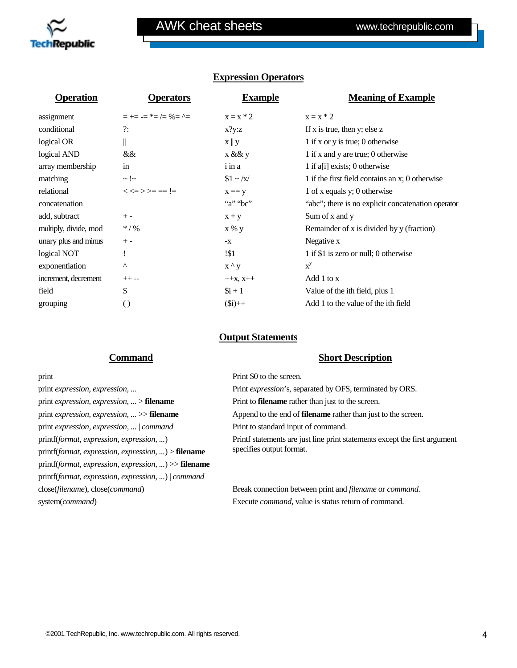

| Operation        | <b>Operators</b>                 | <b>Example</b>                    | <b>Meaning of Example</b>                          |
|------------------|----------------------------------|-----------------------------------|----------------------------------------------------|
| assignment       | $=$ += -= $*$ = /= %= ^=         | $x = x * 2$                       | $x = x * 2$                                        |
| conditional      | ?:                               | x?y:z                             | If x is true, then y; else z                       |
| logical OR       | II                               | $\mathbf{x} \parallel \mathbf{y}$ | 1 if x or y is true; 0 otherwise                   |
| logical AND      | &&                               | x && y                            | 1 if x and y are true; 0 otherwise                 |
| array membership | in                               | i in a                            | 1 if a <sup>[1]</sup> exists; 0 otherwise          |
| matching         | $\sim$ ! $\sim$                  | $$1 \sim /x/$                     | 1 if the first field contains an x; 0 otherwise    |
| relational       | $<<$ $\Rightarrow$ $>=$ $=$ $!=$ | $x == y$                          | 1 of x equals y; 0 otherwise                       |
| concatenation    |                                  | "a" "bc"                          | "abc"; there is no explicit concatenation operator |
| add. subtract    | $+ -$                            | $X + V$                           | Sum of x and y                                     |

multiply, divide, mod  $*/\%$  x % y Remainder of x is divided by y (fraction)

**Output Statements**

logical NOT ! !\$1 1 if \$1 is zero or null; 0 otherwise

field  $\qquad$   $\qquad$   $\qquad$   $\qquad$   $\qquad$   $\qquad$   $\qquad$   $\qquad$   $\qquad$   $\qquad$   $\qquad$   $\qquad$   $\qquad$   $\qquad$   $\qquad$   $\qquad$   $\qquad$   $\qquad$   $\qquad$   $\qquad$   $\qquad$   $\qquad$   $\qquad$   $\qquad$   $\qquad$   $\qquad$   $\qquad$   $\qquad$   $\qquad$   $\qquad$   $\qquad$   $\qquad$   $\qquad$   $\qquad$   $\qquad$   $\qquad$ grouping ( ) (3i)++ Add 1 to the value of the ith field

unary plus and minus  $+ - x$   $- x$  Negative x

increment, decrement  $++- ++x$ ,  $x++$  Add 1 to x

exponentiation  $X^{\wedge} Y$   $X^{\vee} Y$ 

#### **Expression Operators**

# print *expression, expression, ...* > **filename** Print to **filename** rather than just to the screen. print *expression, expression, ...* | *command* Print to standard input of command. printf(*format, expression, expression, ...*) printf(*format, expression, expression, ...*) > **filename** printf(*format, expression, expression, ...*) >> **filename** printf(*format, expression, expression, ...*) | *command*

#### **Command Short Description**

print  $\frac{1}{2}$  Print \$0 to the screen. print *expression, expression, ...* Print *expression*'s, separated by OFS, terminated by ORS. print *expression, expression, ...* >> **filename** Append to the end of **filename** rather than just to the screen. Printf statements are just line print statements except the first argument specifies output format.

close(*filename*), close(*command*) Break connection between print and *filename* or *command.* system(*command*) Execute *command*, value is status return of command.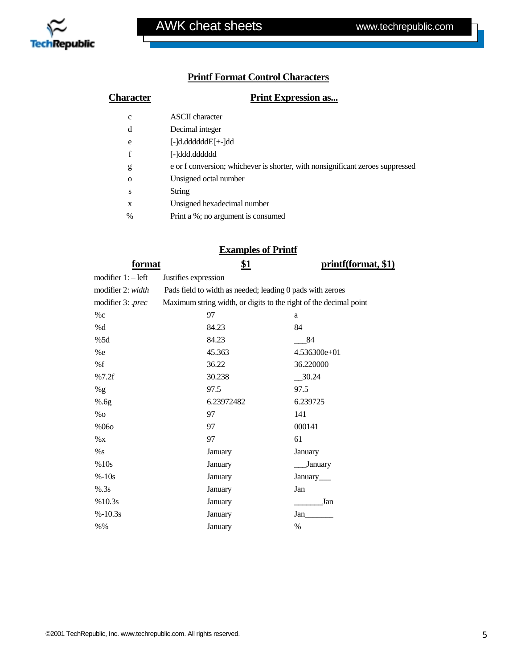

### **Printf Format Control Characters**

| Character     | <b>Print Expression as</b>                                                     |  |
|---------------|--------------------------------------------------------------------------------|--|
| $\mathbf{C}$  | <b>ASCII</b> character                                                         |  |
| d             | Decimal integer                                                                |  |
| e             | [-]d.ddddddE[+-]dd                                                             |  |
| f             | [-]ddd.dddddd                                                                  |  |
| g             | e or f conversion; whichever is shorter, with nonsignificant zeroes suppressed |  |
| $\Omega$      | Unsigned octal number                                                          |  |
| S             | String                                                                         |  |
| X             | Unsigned hexadecimal number                                                    |  |
| $\frac{0}{0}$ | Print a %; no argument is consumed                                             |  |

#### **Examples of Printf**

| format              | <u>\$1</u>                                                        | printf(format, \$1) |
|---------------------|-------------------------------------------------------------------|---------------------|
| modifier $1:-$ left | Justifies expression                                              |                     |
| modifier 2: width   | Pads field to width as needed; leading 0 pads with zeroes         |                     |
| modifier 3: .prec   | Maximum string width, or digits to the right of the decimal point |                     |
| %c                  | 97                                                                | a                   |
| %d                  | 84.23                                                             | 84                  |
| %5d                 | 84.23                                                             | 84                  |
| %e                  | 45.363                                                            | 4.536300e+01        |
| %f                  | 36.22                                                             | 36.220000           |
| %7.2f               | 30.238                                                            | $-30.24$            |
| %g                  | 97.5                                                              | 97.5                |
| %6g                 | 6.23972482                                                        | 6.239725            |
| $\%$ O              | 97                                                                | 141                 |
| %060                | 97                                                                | 000141              |
| $\%$ X              | 97                                                                | 61                  |
| %s                  | January                                                           | January             |
| %10s                | January                                                           | January             |
| $% -10s$            | January                                                           | January             |
| % .3s               | January                                                           | Jan                 |
| %10.3s              | January                                                           | Jan                 |
| $% -10.3s$          | January                                                           | Jan                 |
| $% \%$              | January                                                           | $\%$                |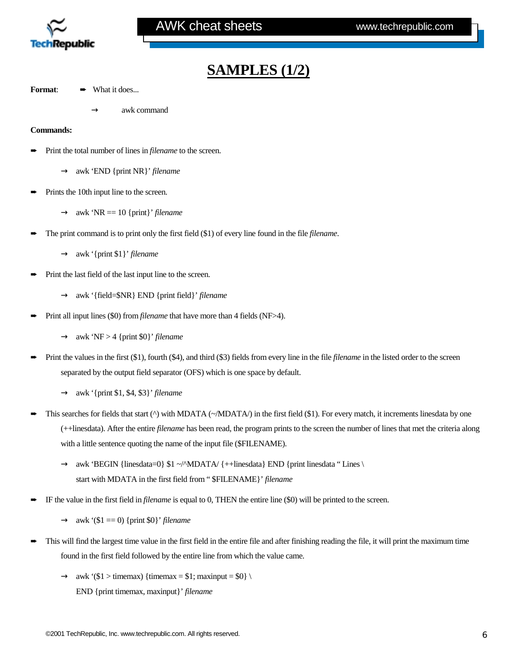

## **SAMPLES (1/2)**

- **Format: ➡ What it does...** 
	- awk command

#### **Commands:**

- Print the total number of lines in *filename* to the screen.
	- → awk 'END {print NR}' *filename*
- **►** Prints the 10th input line to the screen.
	- $\rightarrow$  awk 'NR = 10 {print}' *filename*
- The print command is to print only the first field (\$1) of every line found in the file *filename*.
	- → awk '{print \$1}' *filename*
- Print the last field of the last input line to the screen.
	- → awk '{field=\$NR} END {print field}' *filename*
- Print all input lines (\$0) from *filename* that have more than 4 fields (NF>4).
	- $\rightarrow$  awk 'NF > 4 {print \$0}' *filename*
- Print the values in the first (\$1), fourth (\$4), and third (\$3) fields from every line in the file *filename* in the listed order to the screen separated by the output field separator (OFS) which is one space by default.
	- → awk '{print \$1, \$4, \$3}' *filename*
- This searches for fields that start ( $\Diamond$ ) with MDATA ( $\sim$ /MDATA/) in the first field (\$1). For every match, it increments linesdata by one (++linesdata). After the entire *filename* has been read, the program prints to the screen the number of lines that met the criteria along with a little sentence quoting the name of the input file (\$FILENAME).
	- $\rightarrow$  awk 'BEGIN {linesdata=0} \$1 ~/^MDATA/ {++linesdata} END {print linesdata " Lines \ start with MDATA in the first field from " \$FILENAME}' *filename*
- ➨ IF the value in the first field in *filename* is equal to 0, THEN the entire line (\$0) will be printed to the screen.
	- $\rightarrow$  awk '(\$1 = 0) {print \$0}' *filename*
- ➨ This will find the largest time value in the first field in the entire file and after finishing reading the file, it will print the maximum time found in the first field followed by the entire line from which the value came.
	- $\rightarrow$  awk '(\$1 > timemax) {timemax = \$1; maxinput = \$0} \ END {print timemax, maxinput}' *filename*